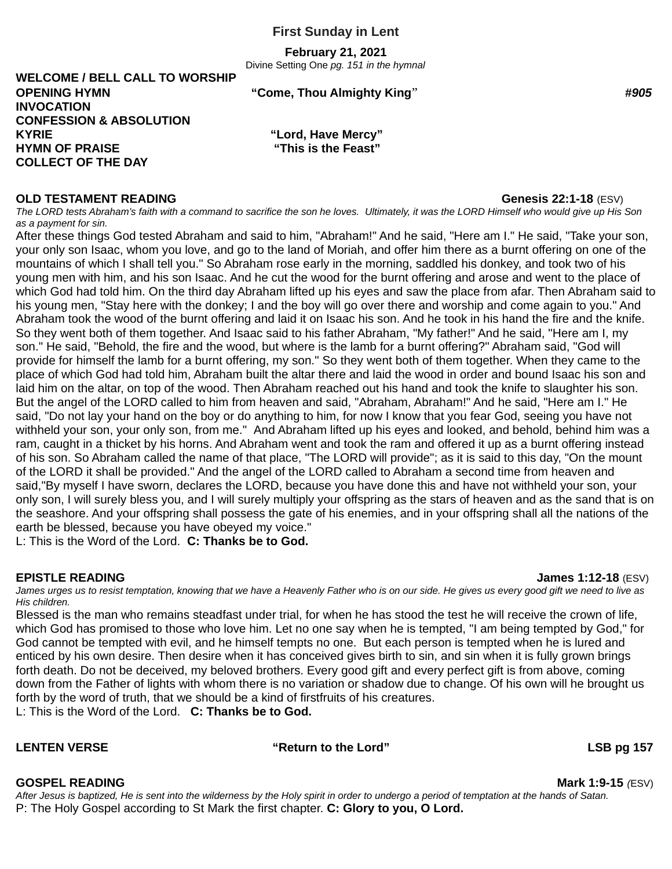**February 21, 2021**

Divine Setting One *pg. 151 in the hymnal*

**WELCOME / BELL CALL TO WORSHIP OPENING HYMN "Come, Thou Almighty King**" *#905* **INVOCATION CONFESSION & ABSOLUTION KYRIE "Lord, Have Mercy" HYMN OF PRAISE "This is the Feast" COLLECT OF THE DAY**

### **OLD TESTAMENT READING GENERAL SERVICES AND READING SERVICES AND READING GENERAL SERVICES AND READING SERVICES**

*The LORD tests Abraham's faith with a command to sacrifice the son he loves. Ultimately, it was the LORD Himself who would give up His Son as a payment for sin.*

After these things God tested Abraham and said to him, "Abraham!" And he said, "Here am I." He said, "Take your son, your only son Isaac, whom you love, and go to the land of Moriah, and offer him there as a burnt offering on one of the mountains of which I shall tell you." So Abraham rose early in the morning, saddled his donkey, and took two of his young men with him, and his son Isaac. And he cut the wood for the burnt offering and arose and went to the place of which God had told him. On the third day Abraham lifted up his eyes and saw the place from afar. Then Abraham said to his young men, "Stay here with the donkey; I and the boy will go over there and worship and come again to you." And Abraham took the wood of the burnt offering and laid it on Isaac his son. And he took in his hand the fire and the knife. So they went both of them together. And Isaac said to his father Abraham, "My father!" And he said, "Here am I, my son." He said, "Behold, the fire and the wood, but where is the lamb for a burnt offering?" Abraham said, "God will provide for himself the lamb for a burnt offering, my son." So they went both of them together. When they came to the place of which God had told him, Abraham built the altar there and laid the wood in order and bound Isaac his son and laid him on the altar, on top of the wood. Then Abraham reached out his hand and took the knife to slaughter his son. But the angel of the LORD called to him from heaven and said, "Abraham, Abraham!" And he said, "Here am I." He said, "Do not lay your hand on the boy or do anything to him, for now I know that you fear God, seeing you have not withheld your son, your only son, from me." And Abraham lifted up his eyes and looked, and behold, behind him was a ram, caught in a thicket by his horns. And Abraham went and took the ram and offered it up as a burnt offering instead of his son. So Abraham called the name of that place, "The LORD will provide"; as it is said to this day, "On the mount of the LORD it shall be provided." And the angel of the LORD called to Abraham a second time from heaven and said,"By myself I have sworn, declares the LORD, because you have done this and have not withheld your son, your only son, I will surely bless you, and I will surely multiply your offspring as the stars of heaven and as the sand that is on the seashore. And your offspring shall possess the gate of his enemies, and in your offspring shall all the nations of the earth be blessed, because you have obeyed my voice."

L: This is the Word of the Lord. **C: Thanks be to God.**

### **EPISTLE READING James 1:12-18** (ESV)

James urges us to resist temptation, knowing that we have a Heavenly Father who is on our side. He gives us every good gift we need to live as *His children.*

Blessed is the man who remains steadfast under trial, for when he has stood the test he will receive the crown of life, which God has promised to those who love him. Let no one say when he is tempted, "I am being tempted by God," for God cannot be tempted with evil, and he himself tempts no one. But each person is tempted when he is lured and enticed by his own desire. Then desire when it has conceived gives birth to sin, and sin when it is fully grown brings forth death. Do not be deceived, my beloved brothers. Every good gift and every perfect gift is from above, coming down from the Father of lights with whom there is no variation or shadow due to change. Of his own will he brought us forth by the word of truth, that we should be a kind of firstfruits of his creatures.

L: This is the Word of the Lord. **C: Thanks be to God.**

LENTEN VERSE **The CONSTRUCTE SET ASSESSED ASSESSED The VERSE Set also will examine the Lord"** LSB pg 157

**GOSPEL READING Mark 1:9-15** *(*ESV)

*After Jesus is baptized, He is sent into the wilderness by the Holy spirit in order to undergo a period of temptation at the hands of Satan.* P: The Holy Gospel according to St Mark the first chapter. **C: Glory to you, O Lord.**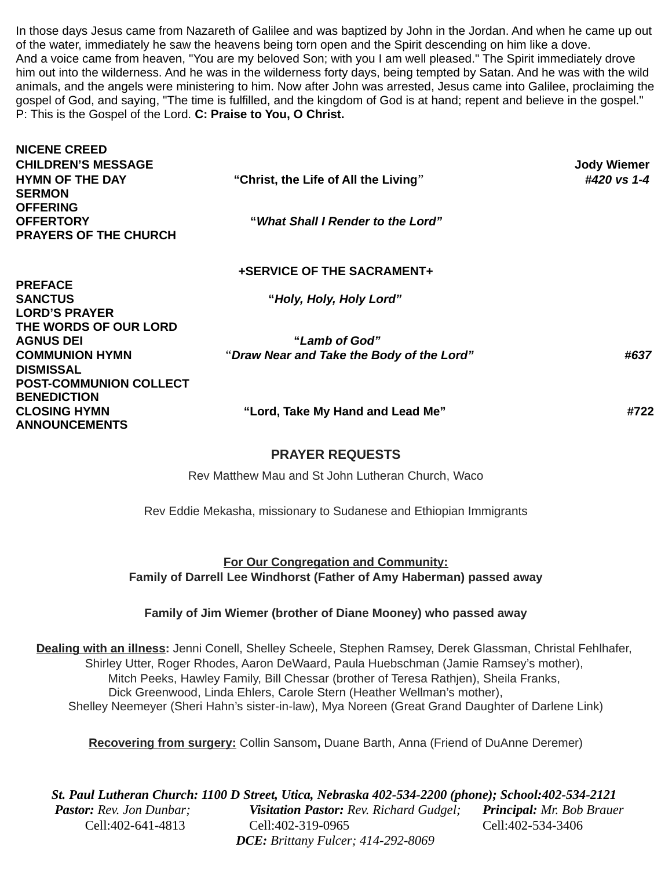In those days Jesus came from Nazareth of Galilee and was baptized by John in the Jordan. And when he came up out of the water, immediately he saw the heavens being torn open and the Spirit descending on him like a dove. And a voice came from heaven, "You are my beloved Son; with you I am well pleased." The Spirit immediately drove him out into the wilderness. And he was in the wilderness forty days, being tempted by Satan. And he was with the wild animals, and the angels were ministering to him. Now after John was arrested, Jesus came into Galilee, proclaiming the gospel of God, and saying, "The time is fulfilled, and the kingdom of God is at hand; repent and believe in the gospel." P: This is the Gospel of the Lord. **C: Praise to You, O Christ.**

| <b>NICENE CREED</b><br><b>CHILDREN'S MESSAGE</b><br><b>HYMN OF THE DAY</b><br><b>SERMON</b><br><b>OFFERING</b> | "Christ, the Life of All the Living"      | <b>Jody Wiemer</b><br>#420 vs 1-4 |
|----------------------------------------------------------------------------------------------------------------|-------------------------------------------|-----------------------------------|
| <b>OFFERTORY</b><br><b>PRAYERS OF THE CHURCH</b>                                                               | "What Shall I Render to the Lord"         |                                   |
| <b>PREFACE</b>                                                                                                 | <b>+SERVICE OF THE SACRAMENT+</b>         |                                   |
| <b>SANCTUS</b><br><b>LORD'S PRAYER</b><br>THE WORDS OF OUR LORD                                                | "Holy, Holy, Holy Lord"                   |                                   |
| <b>AGNUS DEI</b>                                                                                               | "Lamb of God"                             |                                   |
| <b>COMMUNION HYMN</b><br><b>DISMISSAL</b><br><b>POST-COMMUNION COLLECT</b><br><b>BENEDICTION</b>               | "Draw Near and Take the Body of the Lord" | #637                              |
| <b>CLOSING HYMN</b><br><b>ANNOUNCEMENTS</b>                                                                    | "Lord, Take My Hand and Lead Me"          | #722                              |
|                                                                                                                | <b>PRAYER REQUESTS</b>                    |                                   |

Rev Matthew Mau and St John Lutheran Church, Waco

Rev Eddie Mekasha, missionary to Sudanese and Ethiopian Immigrants

**For Our Congregation and Community: Family of Darrell Lee Windhorst (Father of Amy Haberman) passed away**

**Family of Jim Wiemer (brother of Diane Mooney) who passed away**

**Dealing with an illness:** Jenni Conell, Shelley Scheele, Stephen Ramsey, Derek Glassman, Christal Fehlhafer, Shirley Utter, Roger Rhodes, Aaron DeWaard, Paula Huebschman (Jamie Ramsey's mother), Mitch Peeks, Hawley Family, Bill Chessar (brother of Teresa Rathjen), Sheila Franks, Dick Greenwood, Linda Ehlers, Carole Stern (Heather Wellman's mother), Shelley Neemeyer (Sheri Hahn's sister-in-law), Mya Noreen (Great Grand Daughter of Darlene Link)

**Recovering from surgery:** Collin Sansom**,** Duane Barth, Anna (Friend of DuAnne Deremer)

*St. Paul Lutheran Church: 1100 D Street, Utica, Nebraska 402-534-2200 (phone); School:402-534-2121 Pastor: Rev. Jon Dunbar; Visitation Pastor: Rev. Richard Gudgel; Principal: Mr. Bob Brauer* Cell:402-641-4813 Cell:402-319-0965 Cell:402-534-3406 *DCE: Brittany Fulcer; 414-292-8069*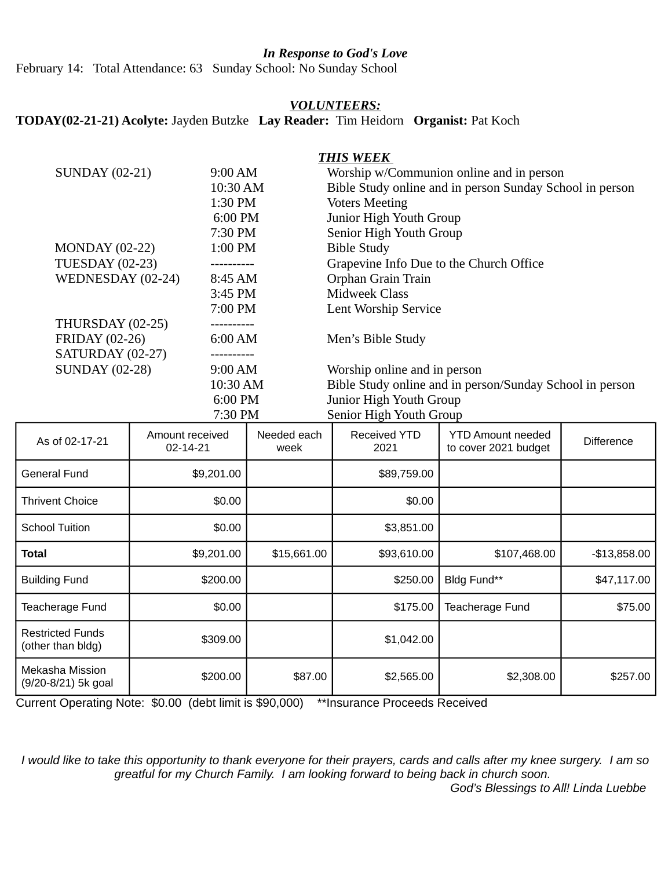## *In Response to God's Love*

February 14: Total Attendance: 63 Sunday School: No Sunday School

### *VOLUNTEERS:*

# **TODAY(02-21-21) Acolyte:** Jayden Butzke **Lay Reader:** Tim Heidorn **Organist:** Pat Koch

## *THIS WEEK*

| <b>SUNDAY (02-21)</b>  | 9:00 AM   | Worship w/Communion online and in person                 |  |  |
|------------------------|-----------|----------------------------------------------------------|--|--|
|                        | 10:30 AM  | Bible Study online and in person Sunday School in person |  |  |
|                        | 1:30 PM   | <b>Voters Meeting</b>                                    |  |  |
|                        | 6:00 PM   | Junior High Youth Group                                  |  |  |
|                        | 7:30 PM   | Senior High Youth Group                                  |  |  |
| <b>MONDAY</b> (02-22)  | 1:00 PM   | <b>Bible Study</b>                                       |  |  |
| <b>TUESDAY (02-23)</b> | --------- | Grapevine Info Due to the Church Office                  |  |  |
| WEDNESDAY (02-24)      | 8:45 AM   | Orphan Grain Train                                       |  |  |
|                        | 3:45 PM   | <b>Midweek Class</b>                                     |  |  |
|                        | 7:00 PM   | <b>Lent Worship Service</b>                              |  |  |
| THURSDAY (02-25)       |           |                                                          |  |  |
| <b>FRIDAY (02-26)</b>  | 6:00 AM   | Men's Bible Study                                        |  |  |
| SATURDAY (02-27)       |           |                                                          |  |  |
| <b>SUNDAY (02-28)</b>  | 9:00 AM   | Worship online and in person                             |  |  |
|                        | 10:30 AM  | Bible Study online and in person/Sunday School in person |  |  |
|                        | 6:00 PM   | Junior High Youth Group                                  |  |  |
|                        | 7:30 PM   | Senior High Youth Group                                  |  |  |

| As of 02-17-21                               | Amount received<br>$02 - 14 - 21$ | Needed each<br>week | Received YTD<br>2021 | <b>YTD Amount needed</b><br>to cover 2021 budget | <b>Difference</b> |
|----------------------------------------------|-----------------------------------|---------------------|----------------------|--------------------------------------------------|-------------------|
| <b>General Fund</b>                          | \$9,201.00                        |                     | \$89,759.00          |                                                  |                   |
| <b>Thrivent Choice</b>                       | \$0.00                            |                     | \$0.00               |                                                  |                   |
| <b>School Tuition</b>                        | \$0.00                            |                     | \$3,851.00           |                                                  |                   |
| <b>Total</b>                                 | \$9,201.00                        | \$15,661.00         | \$93,610.00          | \$107,468.00                                     | $-$13,858.00$     |
| <b>Building Fund</b>                         | \$200.00                          |                     | \$250.00             | Bldg Fund**                                      | \$47,117.00       |
| <b>Teacherage Fund</b>                       | \$0.00                            |                     | \$175.00             | Teacherage Fund                                  | \$75.00           |
| <b>Restricted Funds</b><br>(other than bldg) | \$309.00                          |                     | \$1,042.00           |                                                  |                   |
| Mekasha Mission<br>(9/20-8/21) 5k goal       | \$200.00                          | \$87.00             | \$2,565.00           | \$2,308.00                                       | \$257.00          |

Current Operating Note: \$0.00 (debt limit is \$90,000) \*\*Insurance Proceeds Received

*I would like to take this opportunity to thank everyone for their prayers, cards and calls after my knee surgery. I am so greatful for my Church Family. I am looking forward to being back in church soon. God's Blessings to All! Linda Luebbe*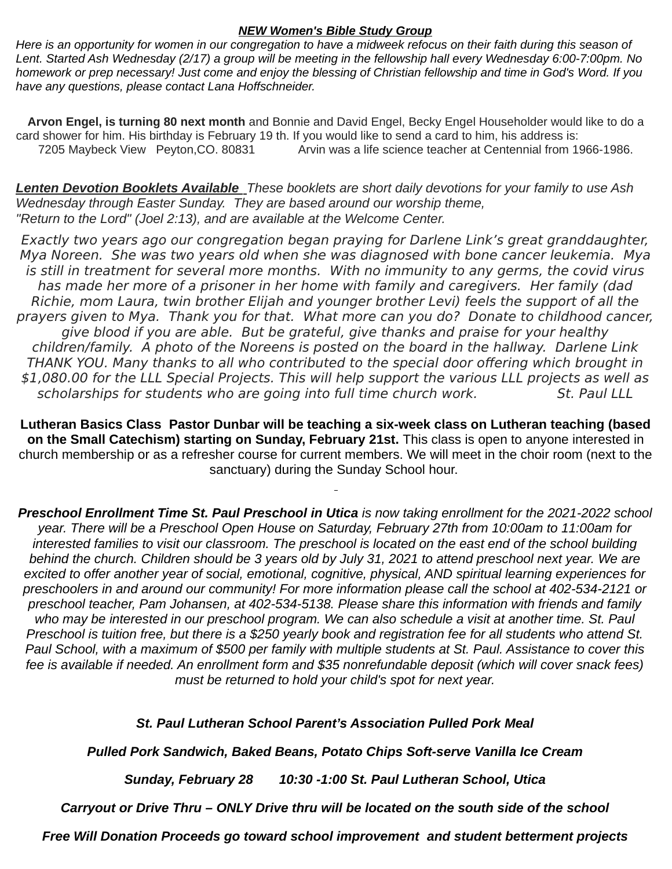### *NEW Women's Bible Study Group*

*Here is an opportunity for women in our congregation to have a midweek refocus on their faith during this season of Lent. Started Ash Wednesday (2/17) a group will be meeting in the fellowship hall every Wednesday 6:00-7:00pm. No homework or prep necessary! Just come and enjoy the blessing of Christian fellowship and time in God's Word. If you have any questions, please contact Lana Hoffschneider.*

**Arvon Engel, is turning 80 next month** and Bonnie and David Engel, Becky Engel Householder would like to do a card shower for him. His birthday is February 19 th. If you would like to send a card to him, his address is: 7205 Maybeck View Peyton, CO. 80831 Arvin was a life science teacher at Centennial from 1966-1986.

 *Lenten Devotion Booklets Available These booklets are short daily devotions for your family to use Ash Wednesday through Easter Sunday. They are based around our worship theme, "Return to the Lord" (Joel 2:13), and are available at the Welcome Center.*

Exactly two years ago our congregation began praying for Darlene Link's great granddaughter, Mya Noreen. She was two years old when she was diagnosed with bone cancer leukemia. Mya is still in treatment for several more months. With no immunity to any germs, the covid virus has made her more of a prisoner in her home with family and caregivers. Her family (dad Richie, mom Laura, twin brother Elijah and younger brother Levi) feels the support of all the prayers given to Mya. Thank you for that. What more can you do? Donate to childhood cancer, give blood if you are able. But be grateful, give thanks and praise for your healthy children/family. A photo of the Noreens is posted on the board in the hallway. Darlene Link THANK YOU. Many thanks to all who contributed to the special door offering which brought in \$1,080.00 for the LLL Special Projects. This will help support the various LLL projects as well as scholarships for students who are going into full time church work. St. Paul LLL

**Lutheran Basics Class Pastor Dunbar will be teaching a six-week class on Lutheran teaching (based on the Small Catechism) starting on Sunday, February 21st.** This class is open to anyone interested in church membership or as a refresher course for current members. We will meet in the choir room (next to the sanctuary) during the Sunday School hour.

*Preschool Enrollment Time St. Paul Preschool in Utica is now taking enrollment for the 2021-2022 school year. There will be a Preschool Open House on Saturday, February 27th from 10:00am to 11:00am for interested families to visit our classroom. The preschool is located on the east end of the school building behind the church. Children should be 3 years old by July 31, 2021 to attend preschool next year. We are excited to offer another year of social, emotional, cognitive, physical, AND spiritual learning experiences for preschoolers in and around our community! For more information please call the school at 402-534-2121 or preschool teacher, Pam Johansen, at 402-534-5138. Please share this information with friends and family who may be interested in our preschool program. We can also schedule a visit at another time. St. Paul Preschool is tuition free, but there is a \$250 yearly book and registration fee for all students who attend St. Paul School, with a maximum of \$500 per family with multiple students at St. Paul. Assistance to cover this fee is available if needed. An enrollment form and \$35 nonrefundable deposit (which will cover snack fees) must be returned to hold your child's spot for next year.*

# *St. Paul Lutheran School Parent's Association Pulled Pork Meal*

*Pulled Pork Sandwich, Baked Beans, Potato Chips Soft-serve Vanilla Ice Cream*

*Sunday, February 28 10:30 -1:00 St. Paul Lutheran School, Utica*

*Carryout or Drive Thru – ONLY Drive thru will be located on the south side of the school*

*Free Will Donation Proceeds go toward school improvement and student betterment projects*